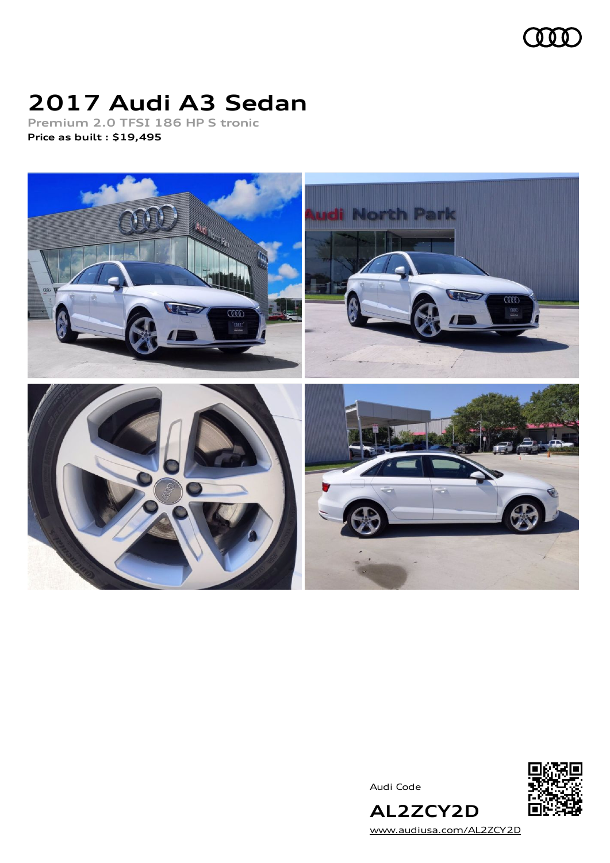

# **2017 Audi A3 Sedan**

**Premium 2.0 TFSI 186 HP S tronic Price as built [:](#page-9-0) \$19,495**



Audi Code



[www.audiusa.com/AL2ZCY2D](https://www.audiusa.com/AL2ZCY2D)

**AL2ZCY2D**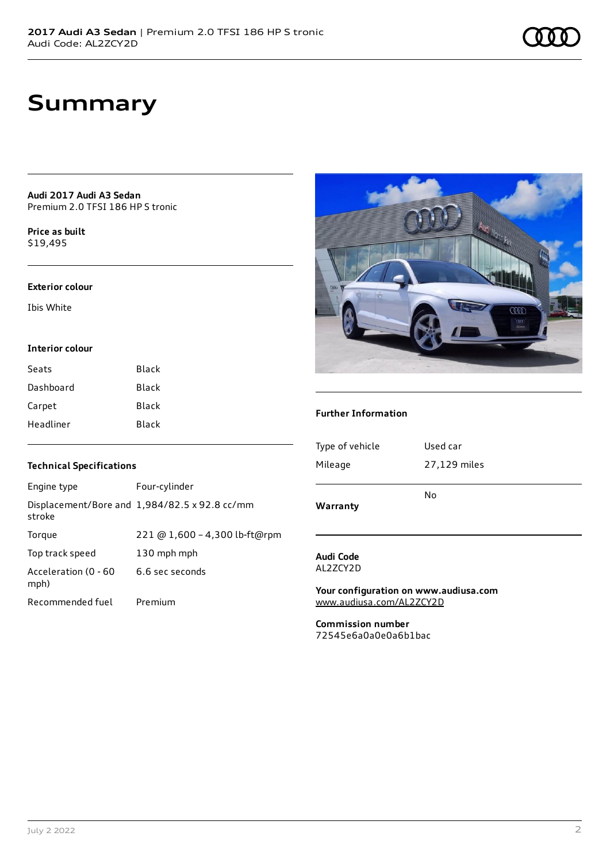## **Summary**

**Audi 2017 Audi A3 Sedan** Premium 2.0 TFSI 186 HP S tronic

**Price as buil[t](#page-9-0)** \$19,495

#### **Exterior colour**

Ibis White

#### **Interior colour**

| Seats     | Black |
|-----------|-------|
| Dashboard | Black |
| Carpet    | Black |
| Headliner | Black |



### **Further Information**

| <b>Technical Specifications</b> |                                                      |  |  |
|---------------------------------|------------------------------------------------------|--|--|
| Engine type                     | Four-cylinder                                        |  |  |
| stroke                          | Displacement/Bore and $1,984/82.5 \times 92.8$ cc/mm |  |  |
| Torque                          | 221 @ 1,600 - 4,300 lb-ft@rpm                        |  |  |
| Top track speed                 | 130 mph mph                                          |  |  |
| Acceleration (0 - 60<br>mph)    | 6.6 sec seconds                                      |  |  |
| Recommended fuel                | Premium                                              |  |  |

| Warranty        |              |
|-----------------|--------------|
|                 | No           |
| Mileage         | 27,129 miles |
| Type of vehicle | Used car     |

#### **Audi Code** AL2ZCY2D

**Your configuration on www.audiusa.com** [www.audiusa.com/AL2ZCY2D](https://www.audiusa.com/AL2ZCY2D)

**Commission number** 72545e6a0a0e0a6b1bac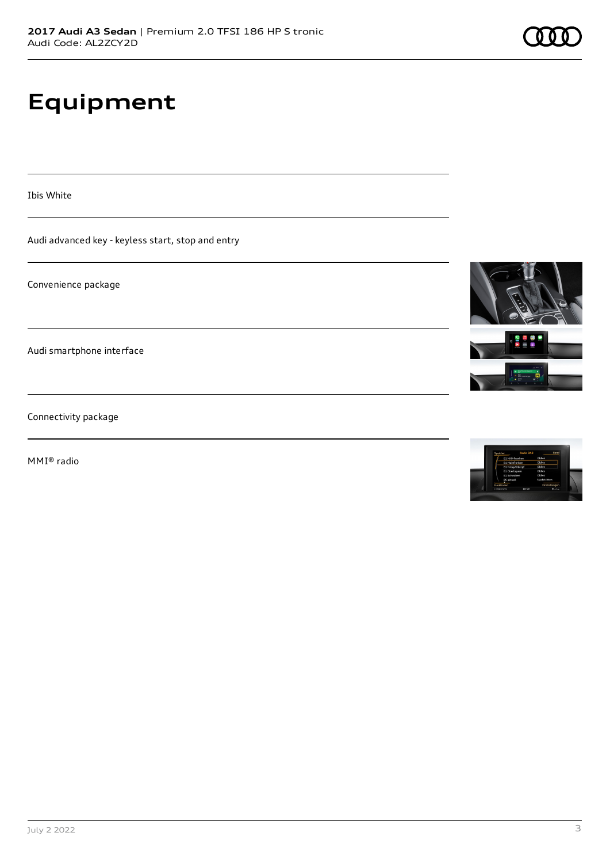# **Equipment**

Ibis White

Audi advanced key - keyless start, stop and entry

Convenience package

Audi smartphone interface

Connectivity package

MMI® radio





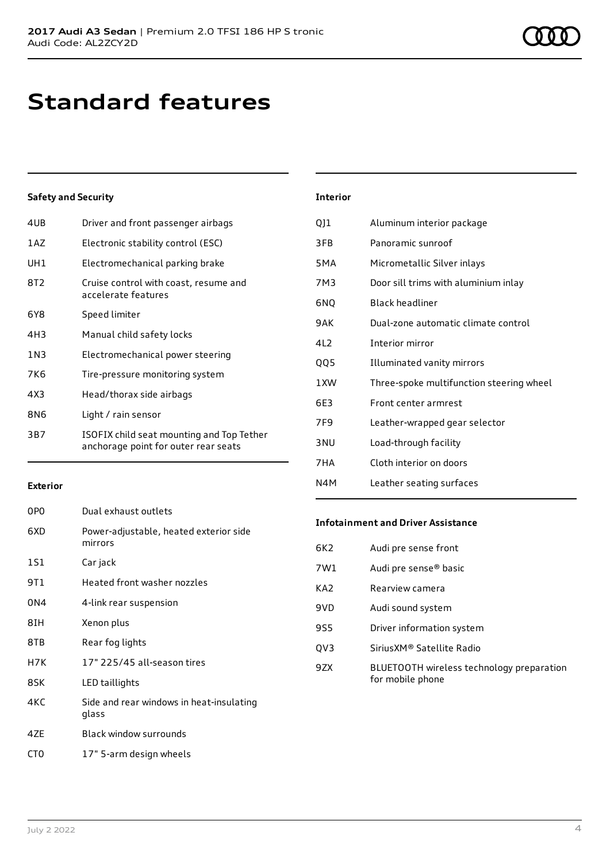## **Standard features**

### **Safety and Security**

| 4UB | Driver and front passenger airbags                                                |
|-----|-----------------------------------------------------------------------------------|
| 1AZ | Electronic stability control (ESC)                                                |
| UH1 | Electromechanical parking brake                                                   |
| 8T2 | Cruise control with coast, resume and<br>accelerate features                      |
| 6Y8 | Speed limiter                                                                     |
| 4H3 | Manual child safety locks                                                         |
| 1N3 | Electromechanical power steering                                                  |
| 7K6 | Tire-pressure monitoring system                                                   |
| 4X3 | Head/thorax side airbags                                                          |
| 8N6 | Light / rain sensor                                                               |
| 3B7 | ISOFIX child seat mounting and Top Tether<br>anchorage point for outer rear seats |
|     |                                                                                   |

| <b>Interior</b> |                                          |
|-----------------|------------------------------------------|
| QJ1             | Aluminum interior package                |
| 3FB             | Panoramic sunroof                        |
| 5MA             | Micrometallic Silver inlays              |
| 7M3             | Door sill trims with aluminium inlay     |
| 6NQ             | <b>Black headliner</b>                   |
| 9AK             | Dual-zone automatic climate control      |
| 412             | Interior mirror                          |
| QQ5             | Illuminated vanity mirrors               |
| 1 XW            | Three-spoke multifunction steering wheel |
| 6F3             | Front center armrest                     |
| 7F <sub>9</sub> | Leather-wrapped gear selector            |
| 3 <sub>NU</sub> | Load-through facility                    |
| 7 H A           | Cloth interior on doors                  |

#### **Exterior**

| 0PO | Dual exhaust outlets                              |
|-----|---------------------------------------------------|
| 6XD | Power-adjustable, heated exterior side<br>mirrors |
| 1S1 | Car jack                                          |
| 9T1 | Heated front washer nozzles                       |
| 0N4 | 4-link rear suspension                            |
| 8IH | Xenon plus                                        |
| 8TB | Rear fog lights                                   |
| H7K | 17" 225/45 all-season tires                       |
| 8SK | LED taillights                                    |
| 4KC | Side and rear windows in heat-insulating<br>glass |
| 47F | <b>Black window surrounds</b>                     |

### CT0 17" 5-arm design wheels

### **Infotainment and Driver Assistance**

N4M Leather seating surfaces

| 6K <sub>2</sub> | Audi pre sense front                                          |
|-----------------|---------------------------------------------------------------|
| 7W1             | Audi pre sense <sup>®</sup> basic                             |
| KA <sub>2</sub> | Rearview camera                                               |
| 9VD             | Audi sound system                                             |
| 9S5             | Driver information system                                     |
| QV3             | Sirius XM® Satellite Radio                                    |
| 9ZX             | BLUETOOTH wireless technology preparation<br>for mobile phone |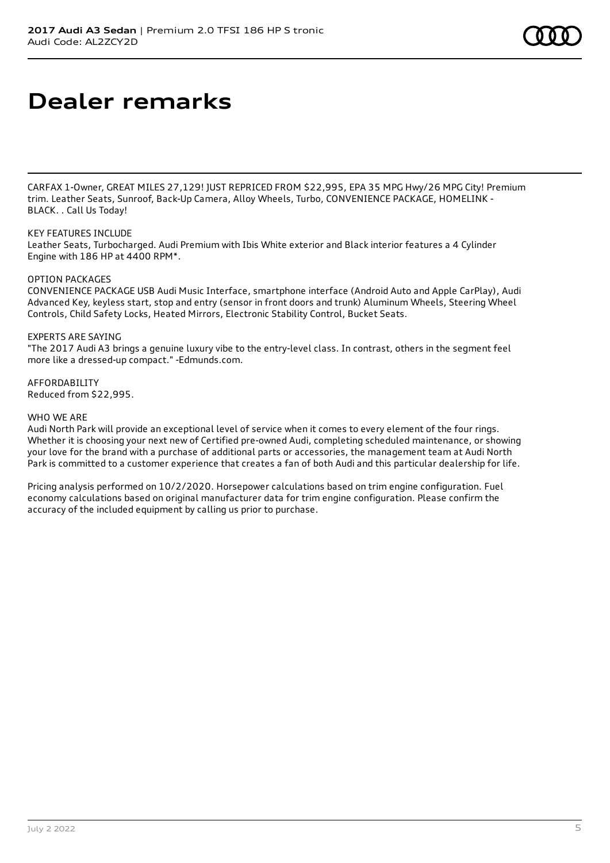# **Dealer remarks**

CARFAX 1-Owner, GREAT MILES 27,129! JUST REPRICED FROM \$22,995, EPA 35 MPG Hwy/26 MPG City! Premium trim. Leather Seats, Sunroof, Back-Up Camera, Alloy Wheels, Turbo, CONVENIENCE PACKAGE, HOMELINK - BLACK. . Call Us Today!

### KEY FEATURES INCLUDE

Leather Seats, Turbocharged. Audi Premium with Ibis White exterior and Black interior features a 4 Cylinder Engine with 186 HP at 4400 RPM\*.

### OPTION PACKAGES

CONVENIENCE PACKAGE USB Audi Music Interface, smartphone interface (Android Auto and Apple CarPlay), Audi Advanced Key, keyless start, stop and entry (sensor in front doors and trunk) Aluminum Wheels, Steering Wheel Controls, Child Safety Locks, Heated Mirrors, Electronic Stability Control, Bucket Seats.

### EXPERTS ARE SAYING

"The 2017 Audi A3 brings a genuine luxury vibe to the entry-level class. In contrast, others in the segment feel more like a dressed-up compact." -Edmunds.com.

AFFORDABILITY Reduced from \$22,995.

### WHO WE ARE

Audi North Park will provide an exceptional level of service when it comes to every element of the four rings. Whether it is choosing your next new of Certified pre-owned Audi, completing scheduled maintenance, or showing your love for the brand with a purchase of additional parts or accessories, the management team at Audi North Park is committed to a customer experience that creates a fan of both Audi and this particular dealership for life.

Pricing analysis performed on 10/2/2020. Horsepower calculations based on trim engine configuration. Fuel economy calculations based on original manufacturer data for trim engine configuration. Please confirm the accuracy of the included equipment by calling us prior to purchase.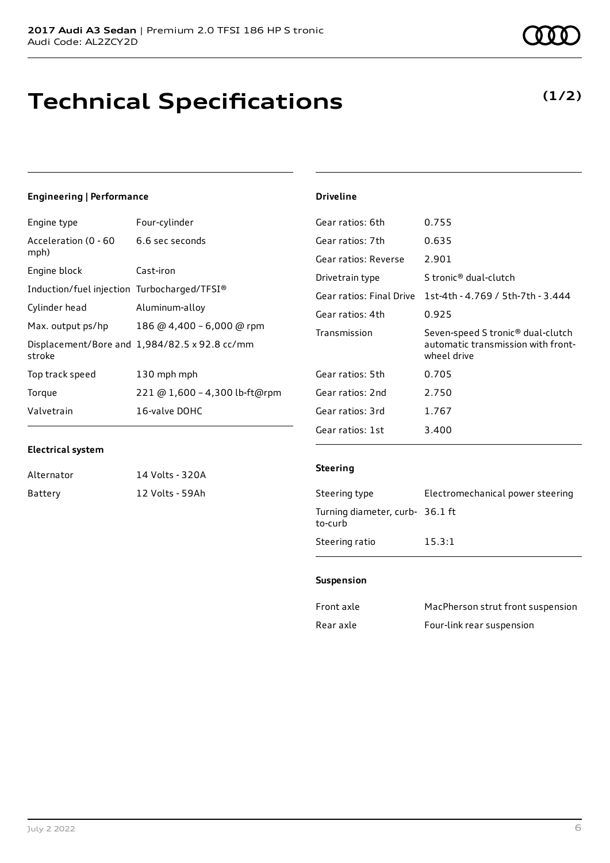# **Technical Specifications**

### **(1/2)**

### **Engineering | Performance**

| Engine type                                 | Four-cylinder                                 |
|---------------------------------------------|-----------------------------------------------|
| Acceleration (0 - 60<br>mph)                | 6.6 sec seconds                               |
| Engine block                                | Cast-iron                                     |
| Induction/fuel injection Turbocharged/TFSI® |                                               |
| Cylinder head                               | Aluminum-alloy                                |
| Max. output ps/hp                           | 186 @ 4,400 - 6,000 @ rpm                     |
| stroke                                      | Displacement/Bore and 1,984/82.5 x 92.8 cc/mm |
| Top track speed                             | 130 mph mph                                   |
| Torque                                      | 221 @ 1,600 - 4,300 lb-ft@rpm                 |
| Valvetrain                                  | 16-valve DOHC                                 |

### Gear ratios: 6th 0.755 Gear ratios: 7th 0.635 Gear ratios: Reverse 2.901 Drivetrain type Stronic<sup>®</sup> dual-clutch Gear ratios: Final Drive 1st-4th - 4.769 / 5th-7th - 3.444 Gear ratios: 4th 0.925 Transmission Seven-speed S tronic® dual-clutch automatic transmission with frontwheel drive Gear ratios: 5th 0.705 Gear ratios: 2nd 2.750 Gear ratios: 3rd 1.767 Gear ratios: 1st 3.400

### **Electrical system**

| Alternator | 14 Volts - 320A |
|------------|-----------------|
| Battery    | 12 Volts - 59Ah |

### **Steering**

**Driveline**

| Steering type                              | Electromechanical power steering |
|--------------------------------------------|----------------------------------|
| Turning diameter, curb- 36.1 ft<br>to-curb |                                  |
| Steering ratio                             | 15.3:1                           |

### **Suspension**

| Front axle | MacPherson strut front suspension |
|------------|-----------------------------------|
| Rear axle  | Four-link rear suspension         |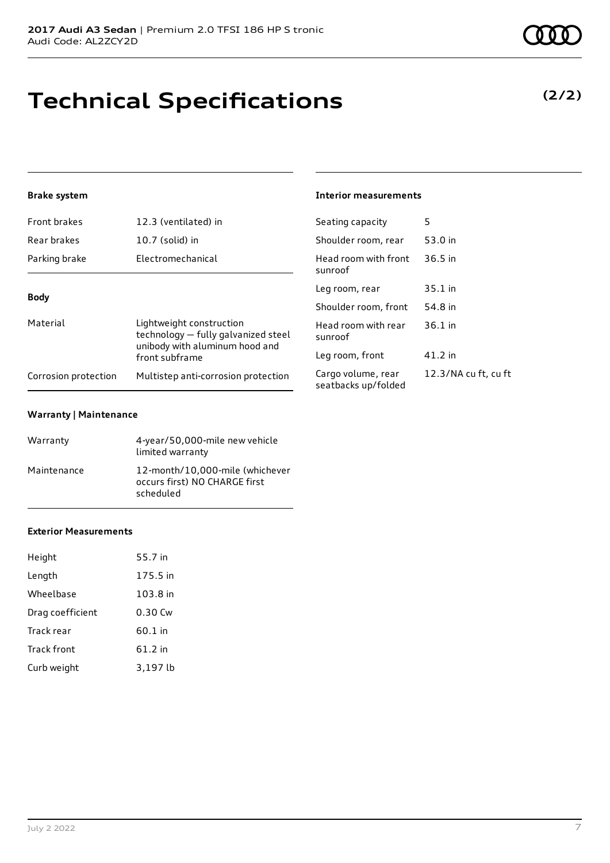# **Technical Specifications**

### **Brake system**

| Front brakes         | 12.3 (ventilated) in                                                                              | Seating capacity                          | 5                    |
|----------------------|---------------------------------------------------------------------------------------------------|-------------------------------------------|----------------------|
| Rear brakes          | 10.7 (solid) in                                                                                   | Shoulder room, rear                       | 53.0 in              |
| Parking brake        | Electromechanical                                                                                 | Head room with front<br>sunroof           | $36.5$ in            |
| <b>Body</b>          |                                                                                                   | Leg room, rear                            | $35.1$ in            |
|                      |                                                                                                   |                                           | 54.8 in              |
| Material             | Lightweight construction<br>technology - fully galvanized steel<br>unibody with aluminum hood and | Head room with rear<br>sunroof            | $36.1$ in            |
|                      | front subframe                                                                                    | Leg room, front                           | $41.2$ in            |
| Corrosion protection | Multistep anti-corrosion protection                                                               | Cargo volume, rear<br>seatbacks up/folded | 12.3/NA cu ft, cu ft |

### **Warranty | Maintenance**

| Warranty    | 4-year/50,000-mile new vehicle<br>limited warranty                            |
|-------------|-------------------------------------------------------------------------------|
| Maintenance | 12-month/10,000-mile (whichever<br>occurs first) NO CHARGE first<br>scheduled |

#### **Exterior Measurements**

| Height             | 55.7 in  |
|--------------------|----------|
| Length             | 175.5 in |
| Wheelbase          | 103.8 in |
| Drag coefficient   | 0.30 Cw  |
| Track rear         | 60.1 in  |
| <b>Track front</b> | 61.2 in  |
| Curb weight        | 3,197 lb |

### **Interior measurements**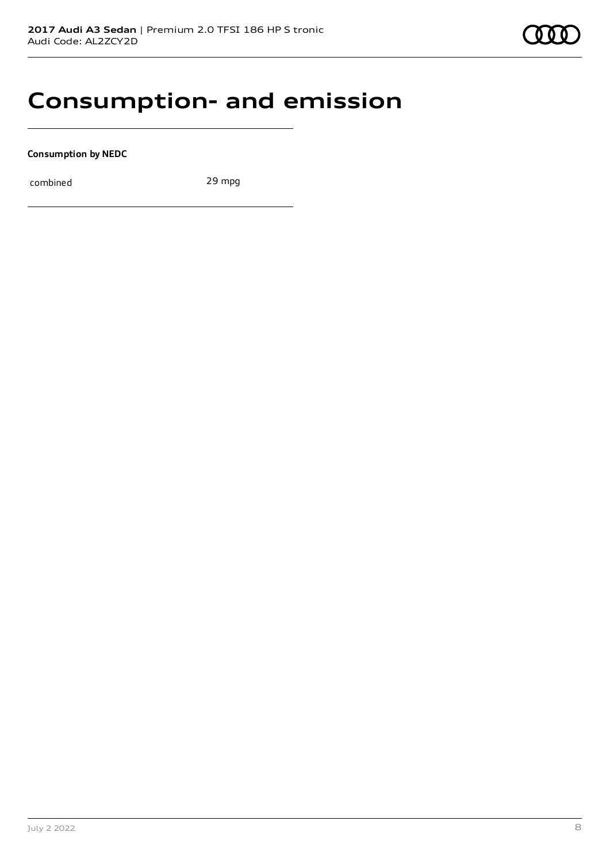### **Consumption- and emission**

**Consumption by NEDC**

combined 29 mpg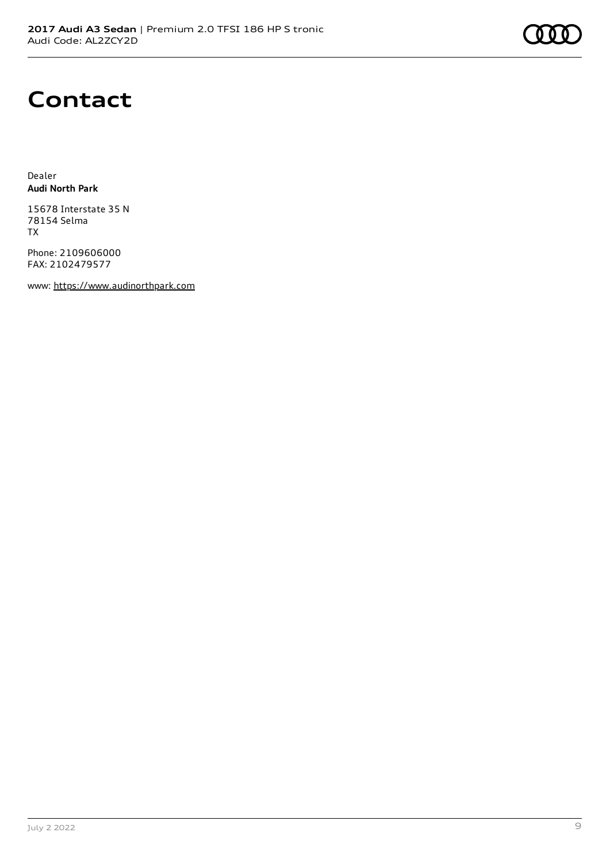### **Contact**

Dealer **Audi North Park**

15678 Interstate 35 N 78154 Selma TX

Phone: 2109606000 FAX: 2102479577

www: [https://www.audinorthpark.com](https://www.audinorthpark.com/)